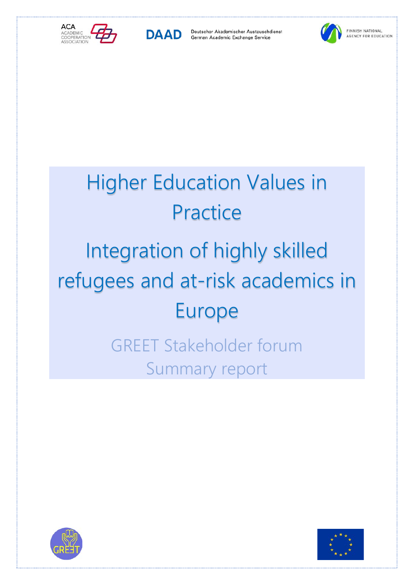



Deutscher Akademischer Austauschdienst German Academic Exchange Service



# Higher Education Values in **Practice** Integration of highly skilled refugees and at-risk academics in Europe GREET Stakeholder forum

Summary report



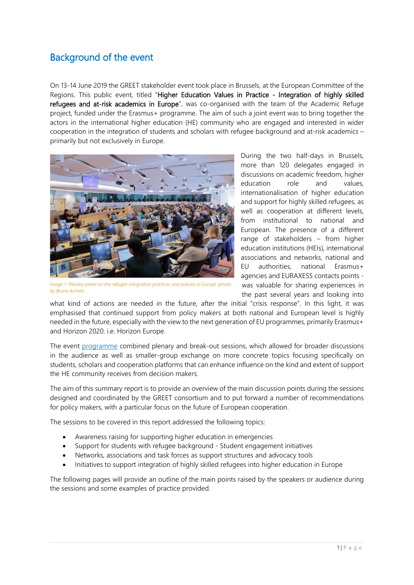## Background of the event

On 13-14 June 2019 the GREET stakeholder event took place in Brussels, at the European Committee of the Regions. This public event, titled "Higher Education Values in Practice - Integration of highly skilled refugees and at-risk academics in Europe", was co-organised with the team of the Academic Refuge project, funded under the Erasmus+ programme. The aim of such a joint event was to bring together the actors in the international higher education (HE) community who are engaged and interested in wider cooperation in the integration of students and scholars with refugee background and at-risk academics – primarily but not exclusively in Europe.



*Image 1: Plenary panel on the refugee integration practices and policies in Europe (photo by Bruno Achen)*

During the two half-days in Brussels, more than 120 delegates engaged in discussions on academic freedom, higher education role and values, internationalisation of higher education and support for highly skilled refugees, as well as cooperation at different levels, from institutional to national and European. The presence of a different range of stakeholders – from higher education institutions (HEIs), international associations and networks, national and EU authorities, national Erasmus+ agencies and EURAXESS contacts points was valuable for sharing experiences in the past several years and looking into

what kind of actions are needed in the future, after the initial "crisis response". In this light, it was emphasised that continued support from policy makers at both national and European level is highly needed in the future, especially with the view to the next generation of EU programmes, primarily Erasmus+ and Horizon 2020. i.e. Horizon Europe.

The event [programme](https://acaevents.events.idloom.com/greet/pages/programme) combined plenary and break-out sessions, which allowed for broader discussions in the audience as well as smaller-group exchange on more concrete topics focusing specifically on students, scholars and cooperation platforms that can enhance influence on the kind and extent of support the HE community receives from decision makers.

The aim of this summary report is to provide an overview of the main discussion points during the sessions designed and coordinated by the GREET consortium and to put forward a number of recommendations for policy makers, with a particular focus on the future of European cooperation.

The sessions to be covered in this report addressed the following topics:

- Awareness raising for supporting higher education in emergencies
- Support for students with refugee background Student engagement initiatives
- Networks, associations and task forces as support structures and advocacy tools
- Initiatives to support integration of highly skilled refugees into higher education in Europe

The following pages will provide an outline of the main points raised by the speakers or audience during the sessions and some examples of practice provided.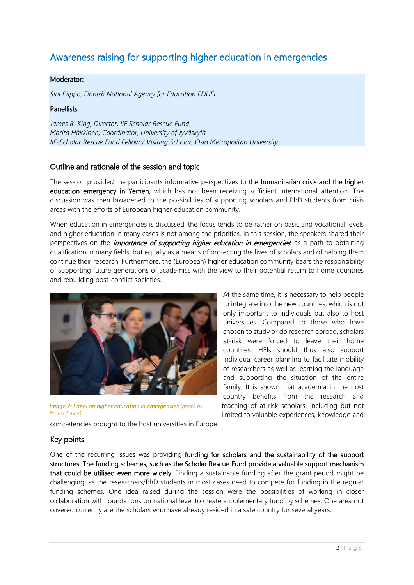## Awareness raising for supporting higher education in emergencies

#### Moderator:

*Sini Piippo, Finnish National Agency for Education EDUFI* 

#### Panellists:

*James R. King, Director, IIE Scholar Rescue Fund Marita Häkkinen, Coordinator, University of Jyväskylä IIE-Scholar Rescue Fund Fellow / Visiting Scholar, Oslo Metropolitan University*

#### Outline and rationale of the session and topic

The session provided the participants informative perspectives to the humanitarian crisis and the higher education emergency in Yemen, which has not been receiving sufficient international attention. The discussion was then broadened to the possibilities of supporting scholars and PhD students from crisis areas with the efforts of European higher education community.

When education in emergencies is discussed, the focus tends to be rather on basic and vocational levels and higher education in many cases is not among the priorities. In this session, the speakers shared their perspectives on the *importance of supporting higher education in emergencies*: as a path to obtaining qualification in many fields, but equally as a means of protecting the lives of scholars and of helping them continue their research. Furthermore, the (European) higher education community bears the responsibility of supporting future generations of academics with the view to their potential return to home countries and rebuilding post-conflict societies.



*Image 2: Panel on higher education in emergencies (photo by Bruno Achen)*

At the same time, it is necessary to help people to integrate into the new countries, which is not only important to individuals but also to host universities. Compared to those who have chosen to study or do research abroad, scholars at-risk were forced to leave their home countries. HEIs should thus also support individual career planning to facilitate mobility of researchers as well as learning the language and supporting the situation of the entire family. It is shown that academia in the host country benefits from the research and teaching of at-risk scholars, including but not limited to valuable experiences, knowledge and

competencies brought to the host universities in Europe.

#### Key points

One of the recurring issues was providing funding for scholars and the sustainability of the support structures. The funding schemes, such as the Scholar Rescue Fund provide a valuable support mechanism that could be utilised even more widely. Finding a sustainable funding after the grant period might be challenging, as the researchers/PhD students in most cases need to compete for funding in the regular funding schemes. One idea raised during the session were the possibilities of working in closer collaboration with foundations on national level to create supplementary funding schemes. One area not covered currently are the scholars who have already resided in a safe country for several years.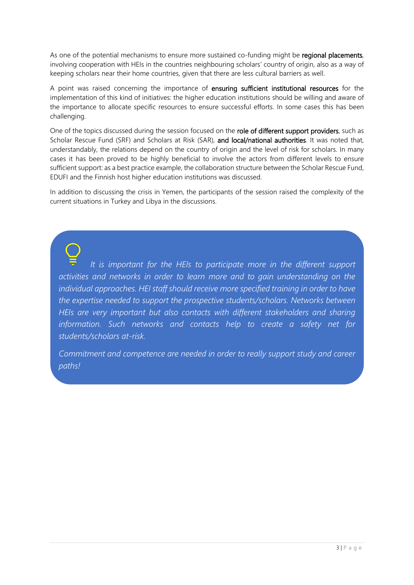As one of the potential mechanisms to ensure more sustained co-funding might be regional placements, involving cooperation with HEIs in the countries neighbouring scholars' country of origin, also as a way of keeping scholars near their home countries, given that there are less cultural barriers as well.

A point was raised concerning the importance of ensuring sufficient institutional resources for the implementation of this kind of initiatives: the higher education institutions should be willing and aware of the importance to allocate specific resources to ensure successful efforts. In some cases this has been challenging.

One of the topics discussed during the session focused on the role of different support providers, such as Scholar Rescue Fund (SRF) and Scholars at Risk (SAR), and local/national authorities. It was noted that, understandably, the relations depend on the country of origin and the level of risk for scholars. In many cases it has been proved to be highly beneficial to involve the actors from different levels to ensure sufficient support: as a best practice example, the collaboration structure between the Scholar Rescue Fund, EDUFI and the Finnish host higher education institutions was discussed.

In addition to discussing the crisis in Yemen, the participants of the session raised the complexity of the current situations in Turkey and Libya in the discussions.

*It is important for the HEIs to participate more in the different support activities and networks in order to learn more and to gain understanding on the individual approaches. HEI staff should receive more specified training in order to have the expertise needed to support the prospective students/scholars. Networks between HEIs are very important but also contacts with different stakeholders and sharing information. Such networks and contacts help to create a safety net for students/scholars at-risk.* 

*Commitment and competence are needed in order to really support study and career paths!*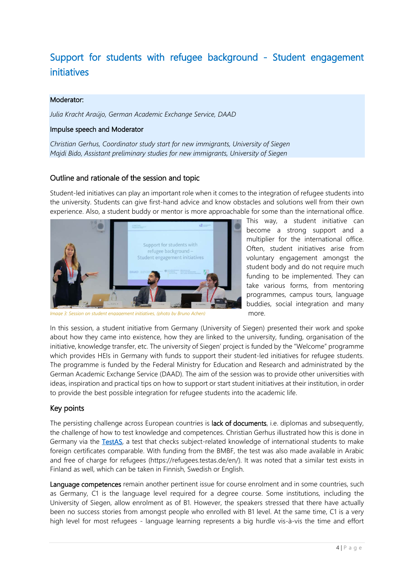# Support for students with refugee background - Student engagement initiatives

#### Moderator:

*Julia Kracht Araújo, German Academic Exchange Service, DAAD*

#### Impulse speech and Moderator

*Christian Gerhus, Coordinator study start for new immigrants, University of Siegen Majdi Bido, Assistant preliminary studies for new immigrants, University of Siegen*

#### Outline and rationale of the session and topic

Student-led initiatives can play an important role when it comes to the integration of refugee students into the university. Students can give first-hand advice and know obstacles and solutions well from their own experience. Also, a student buddy or mentor is more approachable for some than the international office.



*Image 3: Session on student engagement initiatives, (photo by Bruno Achen)*

This way, a student initiative can become a strong support and a multiplier for the international office. Often, student initiatives arise from voluntary engagement amongst the student body and do not require much funding to be implemented. They can take various forms, from mentoring programmes, campus tours, language buddies, social integration and many more.

In this session, a student initiative from Germany (University of Siegen) presented their work and spoke about how they came into existence, how they are linked to the university, funding, organisation of the initiative, knowledge transfer, etc. The university of Siegen' project is funded by the "Welcome" programme which provides HEIs in Germany with funds to support their student-led initiatives for refugee students. The programme is funded by the Federal Ministry for Education and Research and administrated by the German Academic Exchange Service (DAAD). The aim of the session was to provide other universities with ideas, inspiration and practical tips on how to support or start student initiatives at their institution, in order to provide the best possible integration for refugee students into the academic life.

#### Key points

The persisting challenge across European countries is lack of documents, i.e. diplomas and subsequently, the challenge of how to test knowledge and competences. Christian Gerhus illustrated how this is done in Germany via the [TestAS,](https://www.testas.de/en/index_en.htm) a test that checks subject-related knowledge of international students to make foreign certificates comparable. With funding from the BMBF, the test was also made available in Arabic and free of charge for refugees (https://refugees.testas.de/en/). It was noted that a similar test exists in Finland as well, which can be taken in Finnish, Swedish or English.

Language competences remain another pertinent issue for course enrolment and in some countries, such as Germany, C1 is the language level required for a degree course. Some institutions, including the University of Siegen, allow enrolment as of B1. However, the speakers stressed that there have actually been no success stories from amongst people who enrolled with B1 level. At the same time, C1 is a very high level for most refugees - language learning represents a big hurdle vis-à-vis the time and effort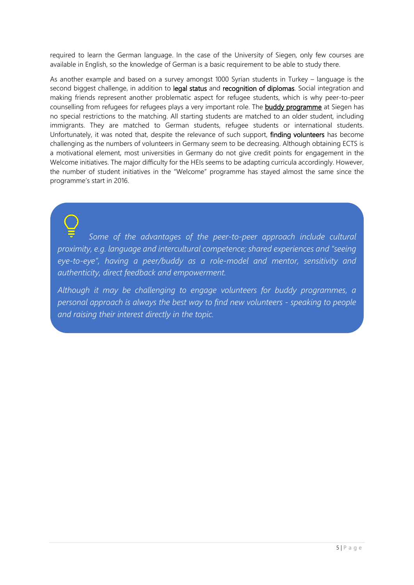required to learn the German language. In the case of the University of Siegen, only few courses are available in English, so the knowledge of German is a basic requirement to be able to study there.

As another example and based on a survey amongst 1000 Syrian students in Turkey – language is the second biggest challenge, in addition to legal status and recognition of diplomas. Social integration and making friends represent another problematic aspect for refugee students, which is why peer-to-peer counselling from refugees for refugees plays a very important role. The **buddy programme** at Siegen has no special restrictions to the matching. All starting students are matched to an older student, including immigrants. They are matched to German students, refugee students or international students. Unfortunately, it was noted that, despite the relevance of such support, finding volunteers has become challenging as the numbers of volunteers in Germany seem to be decreasing. Although obtaining ECTS is a motivational element, most universities in Germany do not give credit points for engagement in the Welcome initiatives. The major difficulty for the HEIs seems to be adapting curricula accordingly. However, the number of student initiatives in the "Welcome" programme has stayed almost the same since the programme's start in 2016.

*Some of the advantages of the peer-to-peer approach include cultural proximity, e.g. language and intercultural competence; shared experiences and "seeing eye-to-eye", having a peer/buddy as a role-model and mentor, sensitivity and authenticity, direct feedback and empowerment.*

*Although it may be challenging to engage volunteers for buddy programmes, a personal approach is always the best way to find new volunteers - speaking to people and raising their interest directly in the topic.*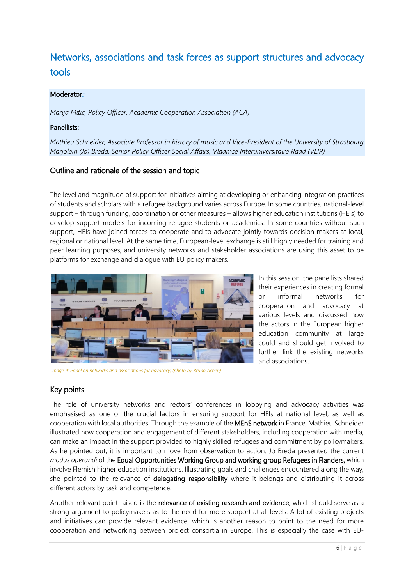## Networks, associations and task forces as support structures and advocacy tools

#### Moderator:

*Marija Mitic, Policy Officer, Academic Cooperation Association (ACA)*

#### Panellists:

*Mathieu Schneider, Associate Professor in history of music and Vice-President of the University of Strasbourg Marjolein (Jo) Breda, Senior Policy Officer Social Affairs, Vlaamse Interuniversitaire Raad (VLIR)*

#### Outline and rationale of the session and topic

The level and magnitude of support for initiatives aiming at developing or enhancing integration practices of students and scholars with a refugee background varies across Europe. In some countries, national-level support – through funding, coordination or other measures – allows higher education institutions (HEIs) to develop support models for incoming refugee students or academics. In some countries without such support, HEIs have joined forces to cooperate and to advocate jointly towards decision makers at local, regional or national level. At the same time, European-level exchange is still highly needed for training and peer learning purposes, and university networks and stakeholder associations are using this asset to be platforms for exchange and dialogue with EU policy makers.



*Image 4: Panel on networks and associations for advocacy, (photo by Bruno Achen)*

In this session, the panellists shared their experiences in creating formal or informal networks for cooperation and advocacy at various levels and discussed how the actors in the European higher education community at large could and should get involved to further link the existing networks and associations.

### Key points

The role of university networks and rectors' conferences in lobbying and advocacy activities was emphasised as one of the crucial factors in ensuring support for HEIs at national level, as well as cooperation with local authorities. Through the example of the MEnS network in France, Mathieu Schneider illustrated how cooperation and engagement of different stakeholders, including cooperation with media, can make an impact in the support provided to highly skilled refugees and commitment by policymakers. As he pointed out, it is important to move from observation to action. Jo Breda presented the current *modus operandi* of the Equal Opportunities Working Group and working group Refugees in Flanders, which involve Flemish higher education institutions. Illustrating goals and challenges encountered along the way, she pointed to the relevance of delegating responsibility where it belongs and distributing it across different actors by task and competence.

Another relevant point raised is the relevance of existing research and evidence, which should serve as a strong argument to policymakers as to the need for more support at all levels. A lot of existing projects and initiatives can provide relevant evidence, which is another reason to point to the need for more cooperation and networking between project consortia in Europe. This is especially the case with EU-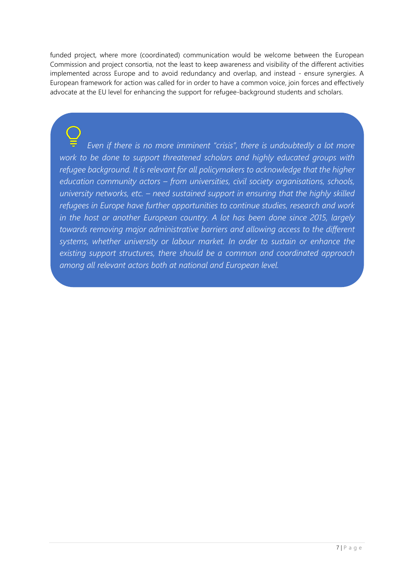funded project, where more (coordinated) communication would be welcome between the European Commission and project consortia, not the least to keep awareness and visibility of the different activities implemented across Europe and to avoid redundancy and overlap, and instead - ensure synergies. A European framework for action was called for in order to have a common voice, join forces and effectively advocate at the EU level for enhancing the support for refugee-background students and scholars.

*Even if there is no more imminent "crisis", there is undoubtedly a lot more work to be done to support threatened scholars and highly educated groups with refugee background. It is relevant for all policymakers to acknowledge that the higher education community actors – from universities, civil society organisations, schools, university networks, etc. – need sustained support in ensuring that the highly skilled refugees in Europe have further opportunities to continue studies, research and work in the host or another European country. A lot has been done since 2015, largely towards removing major administrative barriers and allowing access to the different systems, whether university or labour market. In order to sustain or enhance the existing support structures, there should be a common and coordinated approach among all relevant actors both at national and European level.*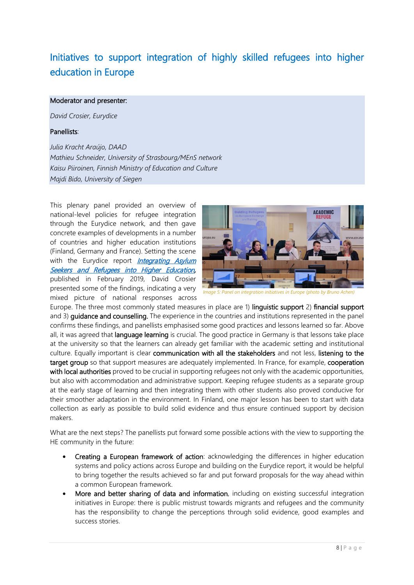# Initiatives to support integration of highly skilled refugees into higher education in Europe

#### Moderator and presenter:

*David Crosier, Eurydice*

#### Panellists:

*Julia Kracht Araújo, DAAD Mathieu Schneider, University of Strasbourg/MEnS network Kaisu Piiroinen, Finnish Ministry of Education and Culture Majdi Bido, University of Siegen*

This plenary panel provided an overview of national-level policies for refugee integration through the Eurydice network, and then gave concrete examples of developments in a number of countries and higher education institutions (Finland, Germany and France). Setting the scene with the Eurydice report *Integrating Asylum* [Seekers and Refugees into Higher Education,](https://eacea.ec.europa.eu/national-policies/eurydice/content/integrating-asylum-seekers-and-refugees-higher-education-europe-national-policies-and_en) published in February 2019, David Crosier presented some of the findings, indicating a very mixed picture of national responses across



*Image 5: Panel on integration initiatives in Europe (photo by Bruno Achen)*

Europe. The three most commonly stated measures in place are 1) linguistic support 2) financial support and 3) **quidance and counselling.** The experience in the countries and institutions represented in the panel confirms these findings, and panellists emphasised some good practices and lessons learned so far. Above all, it was agreed that language learning is crucial. The good practice in Germany is that lessons take place at the university so that the learners can already get familiar with the academic setting and institutional culture. Equally important is clear communication with all the stakeholders and not less, listening to the target group so that support measures are adequately implemented. In France, for example, cooperation with local authorities proved to be crucial in supporting refugees not only with the academic opportunities, but also with accommodation and administrative support. Keeping refugee students as a separate group at the early stage of learning and then integrating them with other students also proved conducive for their smoother adaptation in the environment. In Finland, one major lesson has been to start with data collection as early as possible to build solid evidence and thus ensure continued support by decision makers.

What are the next steps? The panellists put forward some possible actions with the view to supporting the HE community in the future:

- Creating a European framework of action: acknowledging the differences in higher education systems and policy actions across Europe and building on the Eurydice report, it would be helpful to bring together the results achieved so far and put forward proposals for the way ahead within a common European framework.
- More and better sharing of data and information, including on existing successful integration initiatives in Europe: there is public mistrust towards migrants and refugees and the community has the responsibility to change the perceptions through solid evidence, good examples and success stories.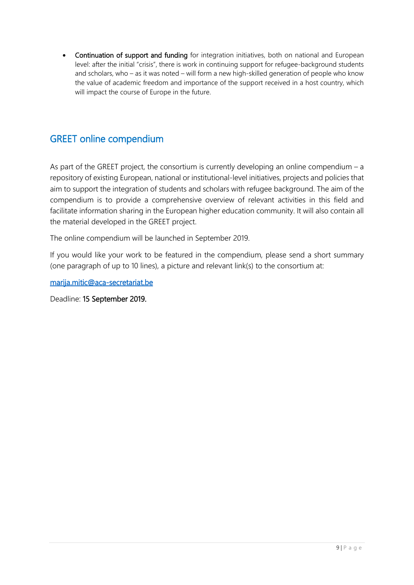• Continuation of support and funding for integration initiatives, both on national and European level: after the initial "crisis", there is work in continuing support for refugee-background students and scholars, who – as it was noted – will form a new high-skilled generation of people who know the value of academic freedom and importance of the support received in a host country, which will impact the course of Europe in the future.

## GREET online compendium

As part of the GREET project, the consortium is currently developing an online compendium  $- a$ repository of existing European, national or institutional-level initiatives, projects and policies that aim to support the integration of students and scholars with refugee background. The aim of the compendium is to provide a comprehensive overview of relevant activities in this field and facilitate information sharing in the European higher education community. It will also contain all the material developed in the GREET project.

The online compendium will be launched in September 2019.

If you would like your work to be featured in the compendium, please send a short summary (one paragraph of up to 10 lines), a picture and relevant link(s) to the consortium at:

[marija.mitic@aca-secretariat.be](mailto:marija.mitic@aca-secretariat.be) 

Deadline: 15 September 2019.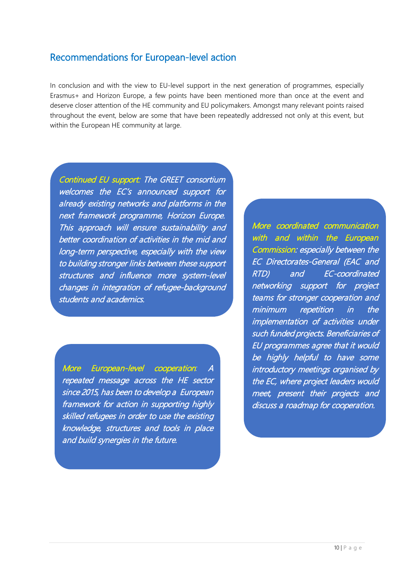## Recommendations for European-level action

In conclusion and with the view to EU-level support in the next generation of programmes, especially Erasmus+ and Horizon Europe, a few points have been mentioned more than once at the event and deserve closer attention of the HE community and EU policymakers. Amongst many relevant points raised throughout the event, below are some that have been repeatedly addressed not only at this event, but within the European HE community at large.

Continued EU support: The GREET consortium welcomes the EC's announced support for already existing networks and platforms in the next framework programme, Horizon Europe. This approach will ensure sustainability and better coordination of activities in the mid and long-term perspective, especially with the view to building stronger links between these support structures and influence more system-level changes in integration of refugee-background students and academics.

More European-level cooperation*:* <sup>A</sup> repeated message across the HE sector since 2015, has been to develop a European framework for action in supporting highly skilled refugees in order to use the existing knowledge, structures and tools in place and build synergies in the future.

More coordinated communication with and within the European Commission: especially between the EC Directorates-General (EAC and RTD) and EC-coordinated networking support for project teams for stronger cooperation and minimum repetition in the implementation of activities under such funded projects. Beneficiaries of EU programmes agree that it would be highly helpful to have some introductory meetings organised by the EC, where project leaders would meet, present their projects and discuss a roadmap for cooperation.